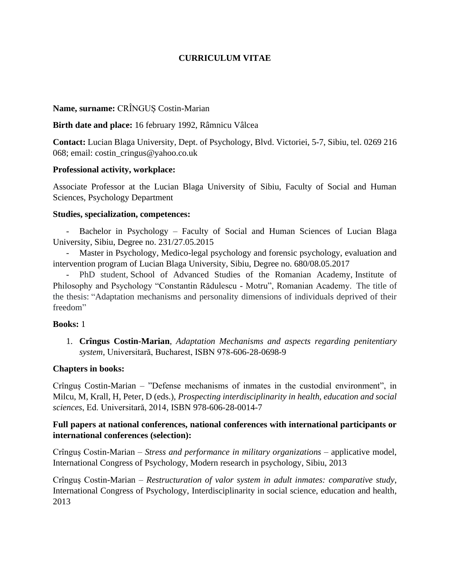# **CURRICULUM VITAE**

### **Name, surname:** CRÎNGUȘ Costin-Marian

### **Birth date and place:** 16 february 1992, Râmnicu Vâlcea

**Contact:** Lucian Blaga University, Dept. of Psychology, Blvd. Victoriei, 5-7, Sibiu, tel. 0269 216 068; email: costin\_cringus@yahoo.co.uk

### **Professional activity, workplace:**

Associate Professor at the Lucian Blaga University of Sibiu, Faculty of Social and Human Sciences, Psychology Department

### **Studies, specialization, competences:**

- Bachelor in Psychology – Faculty of Social and Human Sciences of Lucian Blaga University, Sibiu, Degree no. 231/27.05.2015

- Master in Psychology, Medico-legal psychology and forensic psychology, evaluation and intervention program of Lucian Blaga University, Sibiu, Degree no. 680/08.05.2017

- PhD student, School of Advanced Studies of the Romanian Academy, Institute of Philosophy and Psychology "Constantin Rădulescu - Motru", Romanian Academy. The title of the thesis: "Adaptation mechanisms and personality dimensions of individuals deprived of their freedom"

#### **Books:** 1

1. **Crîngus Costin-Marian**, *Adaptation Mechanisms and aspects regarding penitentiary system,* Universitară, Bucharest, ISBN 978-606-28-0698-9

## **Chapters in books:**

Crînguș Costin-Marian – "Defense mechanisms of inmates in the custodial environment", in Milcu, M, Krall, H, Peter, D (eds.), *Prospecting interdisciplinarity in health, education and social sciences*, Ed. Universitară, 2014, ISBN 978-606-28-0014-7

## **Full papers at national conferences, national conferences with international participants or international conferences (selection):**

Crînguș Costin-Marian – *Stress and performance in military organizations* – applicative model, International Congress of Psychology, Modern research in psychology, Sibiu, 2013

Crînguș Costin-Marian – *Restructuration of valor system in adult inmates: comparative study*, International Congress of Psychology, Interdisciplinarity in social science, education and health, 2013